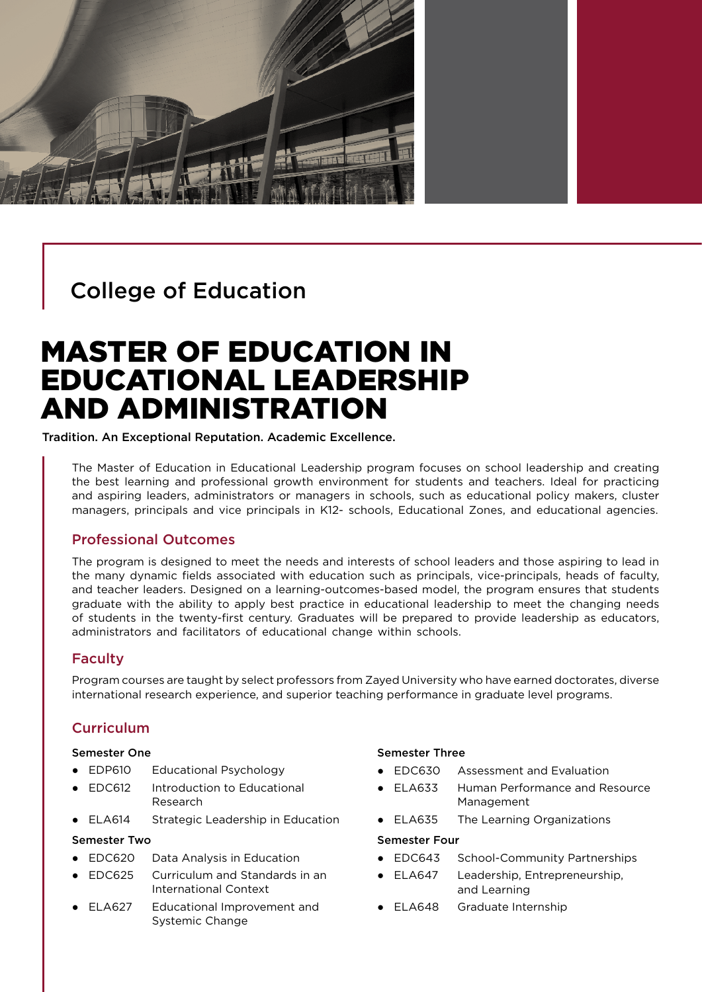

# College of Education

# MASTER OF EDUCATION IN EDUCATIONAL LEADERSHIP AND ADMINISTRATION

Tradition. An Exceptional Reputation. Academic Excellence.

The Master of Education in Educational Leadership program focuses on school leadership and creating the best learning and professional growth environment for students and teachers. Ideal for practicing and aspiring leaders, administrators or managers in schools, such as educational policy makers, cluster managers, principals and vice principals in K12- schools, Educational Zones, and educational agencies.

## Professional Outcomes

The program is designed to meet the needs and interests of school leaders and those aspiring to lead in the many dynamic fields associated with education such as principals, vice-principals, heads of faculty, and teacher leaders. Designed on a learning-outcomes-based model, the program ensures that students graduate with the ability to apply best practice in educational leadership to meet the changing needs of students in the twenty-first century. Graduates will be prepared to provide leadership as educators, administrators and facilitators of educational change within schools.

## Faculty

Program courses are taught by select professors from Zayed University who have earned doctorates, diverse international research experience, and superior teaching performance in graduate level programs.

## **Curriculum**

#### Semester One

- EDP610 Educational Psychology
- EDC612 Introduction to Educational Research
- ELA614 Strategic Leadership in Education

#### Semester Two

- EDC620 Data Analysis in Education
- EDC625 Curriculum and Standards in an International Context
- ELA627 Educational Improvement and Systemic Change

#### Semester Three

- EDC630 Assessment and Evaluation
- ELA633 Human Performance and Resource Management
- ELA635 The Learning Organizations

#### Semester Four

- EDC643 School-Community Partnerships
- ELA647 Leadership, Entrepreneurship, and Learning
- ELA648 Graduate Internship